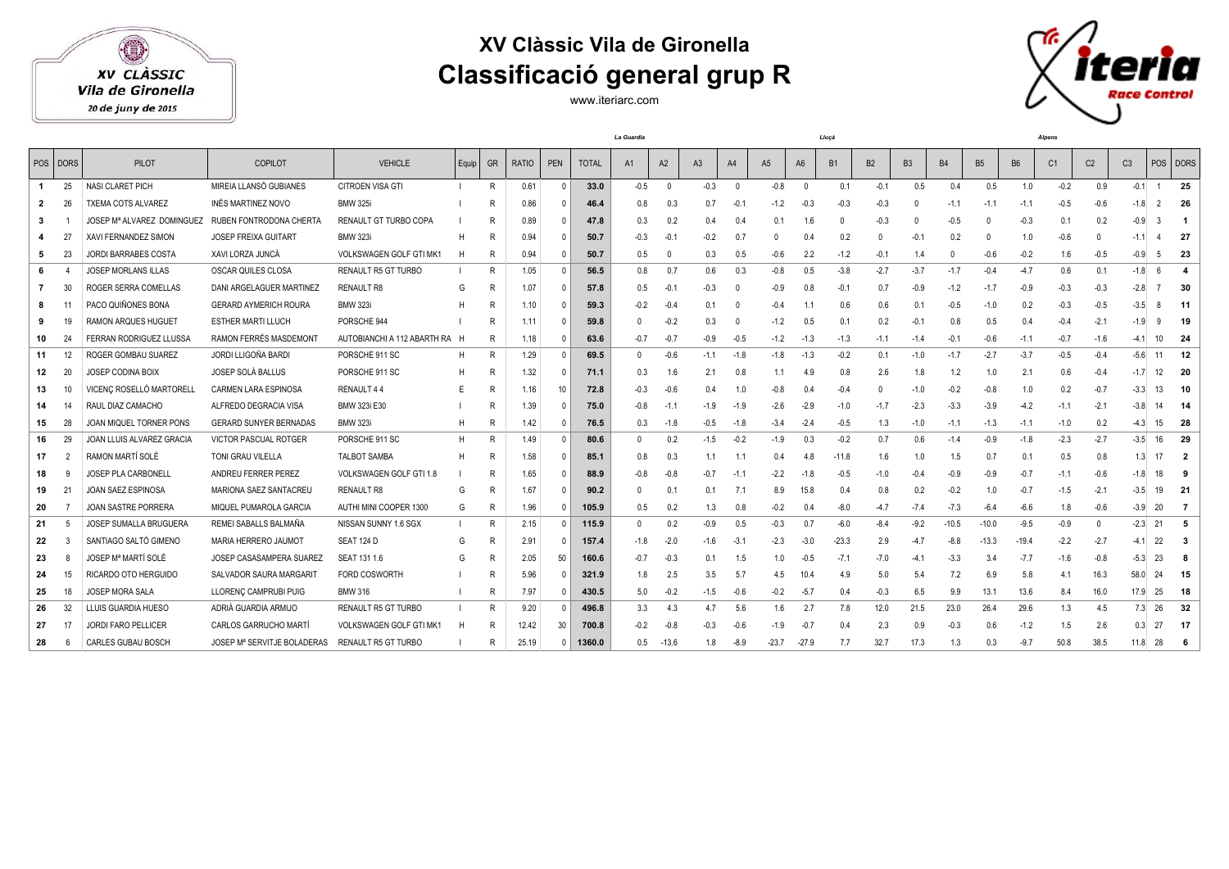XV CLÀSSIC

Vila de Gironella

20 de juny de 2015

## **XV Clàssic Vila de Gironella Classificació general grup R**

www.iteriarc.com



|              |                |                                |                               |                                |       |              |              |              |              | La Guardia |                |                |                | Lluça   |                |           |           |           | <b>Alpens</b> |           |           |        |                |                |                |                          |
|--------------|----------------|--------------------------------|-------------------------------|--------------------------------|-------|--------------|--------------|--------------|--------------|------------|----------------|----------------|----------------|---------|----------------|-----------|-----------|-----------|---------------|-----------|-----------|--------|----------------|----------------|----------------|--------------------------|
|              | POS DORS       | <b>PILOT</b>                   | <b>COPILOT</b>                | <b>VEHICLE</b>                 | Equip | <b>GR</b>    | <b>RATIO</b> | PEN          | <b>TOTAL</b> | A1         | A2             | A <sub>3</sub> | A4             | A5      | A <sub>6</sub> | <b>B1</b> | <b>B2</b> | <b>B3</b> | <b>B4</b>     | <b>B5</b> | <b>B6</b> | C1     | C <sub>2</sub> | C <sub>3</sub> |                | POS DORS                 |
| $\mathbf{1}$ | 25             | NASI CLARET PICH               | MIREIA LLANSÓ GUBIANES        | CITROEN VISA GTI               |       | $\mathsf{R}$ | 0.61         | $\Omega$     | 33.0         | $-0.5$     | $\overline{0}$ | $-0.3$         | $\overline{0}$ | $-0.8$  | $\Omega$       | 0.1       | $-0.1$    | 0.5       | 0.4           | 0.5       | 1.0       | $-0.2$ | 0.9            | $-0.1$         | $\overline{1}$ | 25                       |
| 2            | -26            | <b>TXEMA COTS ALVAREZ</b>      | INÉS MARTINEZ NOVO            | <b>BMW 325i</b>                |       | R            | 0.86         | $\mathsf{O}$ | 46.4         | 0.8        | 0.3            | 0.7            | $-0.1$         | $-1.2$  | $-0.3$         | $-0.3$    | $-0.3$    |           | $-1.1$        | $-1.1$    | $-1.1$    | $-0.5$ | $-0.6$         | $-1.8$         | 2              | 26                       |
| 3            |                | JOSEP Mª ALVAREZ DOMINGUEZ     | RUBEN FONTRODONA CHERTA       | RENAULT GT TURBO COPA          |       | R            | 0.89         | $\Omega$     | 47.8         | 0.3        | 0.2            | 0.4            | 0.4            | 0.1     | 1.6            |           | $-0.3$    |           | $-0.5$        |           | $-0.3$    | 0.1    | 0.2            | $-0.9$         | ß              | $\overline{\phantom{0}}$ |
|              | -27            | XAVI FERNANDEZ SIMON           | <b>JOSEP FREIXA GUITART</b>   | <b>BMW 323i</b>                | H     | R            | 0.94         | $\mathsf{O}$ | 50.7         | $-0.3$     | $-0.1$         | $-0.2$         | 0.7            |         | 0.4            | 0.2       | $\Omega$  | $-0.1$    | 0.2           | $\Omega$  | 1.0       | $-0.6$ | $\Omega$       | $-1.1$         |                | - 27                     |
| 5            | 23             | <b>JORDI BARRABES COSTA</b>    | XAVI LORZA JUNCÀ              | <b>VOLKSWAGEN GOLF GTI MK1</b> | H     | R            | 0.94         | $\mathsf{D}$ | 50.7         | 0.5        |                | 0.3            | 0.5            | $-0.6$  | 2.2            | $-1.2$    | $-0.1$    | 1.4       | $\Omega$      | $-0.6$    | $-0.2$    | 1.6    | $-0.5$         | $-0.9$         | -5             | - 23                     |
|              |                | <b>JOSEP MORLANS ILLAS</b>     | OSCAR QUILES CLOSA            | <b>RENAULT R5 GT TURBO</b>     |       | R            | 1.05         |              | 56.5         | 0.8        | 0.7            | 0.6            | 0.3            | $-0.8$  | 0.5            | $-3.8$    | $-2.7$    | $-3.7$    | $-1.7$        | $-0.4$    | $-4.7$    | 0.6    | 0.1            | $-1.8$         | 6              | $\boldsymbol{A}$         |
|              | 30             | ROGER SERRA COMELLAS           | DANI ARGELAGUER MARTINEZ      | <b>RENAULT R8</b>              | G     | R            | 1.07         | $\mathsf{D}$ | 57.8         | 0.5        | -0.1           | $-0.3$         | $\Omega$       | $-0.9$  | 0.8            | $-0.1$    | 0.7       | $-0.9$    | $-1.2$        | $-1.7$    | $-0.9$    | $-0.3$ | $-0.3$         | $-2.8$         |                | - 30                     |
| 8            |                | PACO QUIÑONES BONA             | <b>GERARD AYMERICH ROURA</b>  | <b>BMW 323i</b>                | н     | R            | 1.10         | $\Omega$     | 59.3         | $-0.2$     | $-0.4$         | 0.1            | - 0            | $-0.4$  | 1.1            | 0.6       | 0.6       | 0.1       | $-0.5$        | $-1.0$    | 0.2       | $-0.3$ | $-0.5$         | $-3.5$         | -8             | $-11$                    |
| 9            | 19             | <b>RAMON ARQUES HUGUET</b>     | <b>ESTHER MARTI LLUCH</b>     | PORSCHE 944                    |       | R            | 1.11         | $\mathsf{D}$ | 59.8         | $\Omega$   | $-0.2$         | 0.3            | $\Omega$       | $-1.2$  | 0.5            | 0.1       | 0.2       | $-0.1$    | 0.8           | 0.5       | 0.4       | $-0.4$ | $-2.1$         | $-1.9$         | <sub>9</sub>   | - 19                     |
| 10           | 24             | <b>FERRAN RODRIGUEZ LLUSSA</b> | RAMON FERRÉS MASDEMONT        | AUTOBIANCHI A 112 ABARTH RA H  |       | R            | 1.18         | $\Omega$     | 63.6         | $-0.7$     | $-0.7$         | -0.9           | $-0.5$         | $-1.2$  | $-1.3$         | $-1.3$    | $-1.1$    | $-1.4$    | $-0.1$        | $-0.6$    | $-1.1$    | $-0.7$ | $-1.6$         | $-4.1$         |                | $10 \ 24$                |
| 11           | 12             | ROGER GOMBAU SUAREZ            | JORDI LLIGOÑA BARDI           | PORSCHE 911 SC                 | н     | R            | 1.29         | $\Omega$     | 69.5         | $\Omega$   | $-0.6$         | $-1.1$         | $-1.8$         | $-1.8$  | $-1.3$         | $-0.2$    | 0.1       | $-1.0$    | $-1.7$        | $-2.7$    | $-3.7$    | $-0.5$ | $-0.4$         | $-5.6$         | 11             | 12                       |
| 12           | 20             | <b>JOSEP CODINA BOIX</b>       | JOSEP SOLÀ BALLUS             | PORSCHE 911 SC                 | н     | R            | 1.32         | $\mathsf{D}$ | 71.1         | 0.3        | 1.6            | 2.1            | 0.8            | 1.1     | 4.9            | 0.8       | 2.6       | 1.8       | 1.2           | 1.0       | 2.1       | 0.6    | $-0.4$         | $-1.7$         | 12             | 20                       |
| 13           | 10             | VICENC ROSELLÓ MARTORELL       | <b>CARMEN LARA ESPINOSA</b>   | RENAULT 44                     | E     | R            | 1.16         | 10           | 72.8         | $-0.3$     | $-0.6$         | 0.4            | 1.0            | -0.8    | 0.4            | $-0.4$    | $\Omega$  | $-1.0$    | $-0.2$        | $-0.8$    | 1.0       | 0.2    | $-0.7$         | $-3.3$         | 13             | - 10                     |
| 14           | 14             | RAUL DIAZ CAMACHO              | ALFREDO DEGRACIA VISA         | <b>BMW 323i E30</b>            |       | R            | 1.39         | $\Omega$     | 75.0         | $-0.8$     | $-11$          | $-1.9$         | $-1.9$         | $-2.6$  | $-2.9$         | $-1.0$    | $-1.7$    | $-2.3$    | $-3.3$        | $-3.9$    | $-4.2$    | $-1.1$ | $-2.1$         | $-3.8$         | 14             | 14                       |
| 15           | 28             | JOAN MIQUEL TORNER PONS        | <b>GERARD SUNYER BERNADAS</b> | <b>BMW 323i</b>                | H     | R            | 1.42         | $\mathsf{O}$ | 76.5         | 0.3        | $-1.8$         | $-0.5$         | $-1.8$         | $-3.4$  | $-2.4$         | $-0.5$    | 1.3       | $-1.0$    | $-1.1$        | $-1.3$    | $-1.1$    | $-1.0$ | 0.2            | $-4.3$         | 15             | - 28                     |
| 16           | 29             | JOAN LLUIS ALVAREZ GRACIA      | <b>VICTOR PASCUAL ROTGER</b>  | PORSCHE 911 SC                 | н     | R            | 1.49         | $\Omega$     | 80.6         | $\Omega$   | 0.2            | $-1.5$         | $-0.2$         | $-1.9$  | 0.3            | $-0.2$    | 0.7       | 0.6       | $-1.4$        | $-0.9$    | $-1.8$    | $-2.3$ | $-2.7$         | $-3.5$         | 16             | - 29                     |
| 17           | $\overline{2}$ | RAMON MARTÍ SOLÉ               | TONI GRAU VILELLA             | <b>TALBOT SAMBA</b>            | H     | R            | 1.58         |              | 85.1         | 0.8        | 0.3            | 1.1            | 1.1            | 0.4     | 4.8            | $-11.8$   | 1.6       | 1.0       | 1.5           | 0.7       | 0.1       | 0.5    | 0.8            | 1.3            |                | $\overline{\phantom{a}}$ |
| 18           | -9             | JOSEP PLA CARBONELL            | ANDREU FERRER PEREZ           | <b>VOLKSWAGEN GOLF GTI 1.8</b> |       | R            | 1.65         | $\Omega$     | 88.9         | $-0.8$     | $-0.8$         | $-0.7$         | $-11$          | $-2.2$  | $-1.8$         | $-0.5$    | $-1.0$    | $-0.4$    | $-0.9$        | $-0.9$    | $-0.7$    | $-1.1$ | $-0.6$         | $-1.8$         | 18             | - 9                      |
| 19           | 21             | <b>JOAN SAEZ ESPINOSA</b>      | MARIONA SAEZ SANTACREU        | <b>RENAULT R8</b>              | G     | R            | 1.67         | $\Omega$     | 90.2         | $\Omega$   | 0.1            | 0.1            | 7.1            | 8.9     | 15.8           | 0.4       | 0.8       | 0.2       | $-0.2$        | 1.0       | $-0.7$    | $-1.5$ | $-2.1$         | $-3.5$         | 19             | 21                       |
| 20           |                | JOAN SASTRE PORRERA            | MIQUEL PUMAROLA GARCIA        | AUTHI MINI COOPER 1300         | G     | R            | 1.96         | $\Omega$     | 105.9        | 0.5        | 0.2            | 1.3            | 0.8            | $-0.2$  | 0.4            | $-8.0$    | $-4.7$    | $-7.4$    | $-7.3$        | $-6.4$    | $-6.6$    | 1.8    | $-0.6$         | $-3.9$         | 20             | $\overline{7}$           |
| -21          | -5             | <b>JOSEP SUMALLA BRUGUERA</b>  | REMEI SABALLS BALMAÑA         | NISSAN SUNNY 1.6 SGX           | -1    | R            | 2.15         | $\Omega$     | 115.9        | $\Omega$   | 0.2            | $-0.9$         | 0.5            | $-0.3$  | 0.7            | $-6.0$    | $-8.4$    | $-9.2$    | $-10.5$       | $-10.0$   | $-9.5$    | $-0.9$ | $\mathbf{0}$   | $-2.3$         | 21             | - 5                      |
| 22           | -3             | SANTIAGO SALTÓ GIMENO          | MARIA HERRERO JAUMOT          | SEAT 124 D                     | G     | R            | 2.91         | $\mathsf{O}$ | 157.4        | $-1.8$     | $-2.0$         | $-1.6$         | $-3.1$         | $-2.3$  | $-3.0$         | $-23.3$   | 2.9       | $-4.7$    | $-8.8$        | $-13.3$   | $-19.4$   | $-2.2$ | $-2.7$         | $-4.1$         | 22             | - 3                      |
| 23           |                | JOSEP Mª MARTÍ SOLÉ            | JOSEP CASASAMPERA SUAREZ      | <b>SEAT 131 1.6</b>            | G     | R            | 2.05         | 50           | 160.6        | $-0.7$     | $-0.3$         | 0.1            | 1.5            | 1.0     | $-0.5$         | $-7.1$    | $-7.0$    | $-4.1$    | $-3.3$        | 3.4       | $-7.7$    | $-1.6$ | $-0.8$         | $-5.3$         | 23             | - 8                      |
| 24           | 15             | RICARDO OTO HERGUIDO           | SALVADOR SAURA MARGARIT       | <b>FORD COSWORTH</b>           |       | R            | 5.96         | $\mathsf{O}$ | 321.9        | 1.8        | 2.5            | 3.5            | 5.7            | 4.5     | 10.4           | 4.9       | 5.0       | 5.4       | 7.2           | 6.9       | 5.8       | 4.1    | 16.3           | 58.0           | 24             | - 15                     |
| 25           | 18             | <b>JOSEP MORA SALA</b>         | LLORENC CAMPRUBI PUIG         | <b>BMW 316</b>                 |       | R            | 7.97         | $\mathsf{O}$ | 430.5        | 5.0        | $-0.2$         | $-1.5$         | $-0.6$         | $-0.2$  | $-5.7$         | 0.4       | $-0.3$    | 6.5       | 9.9           | 13.1      | 13.6      | 8.4    | 16.0           | 17.9           | 25             | - 18                     |
| 26           | 32             | LLUIS GUARDIA HUESO            | ADRIÀ GUARDIA ARMIJO          | RENAULT R5 GT TURBO            |       | R            | 9.20         |              | 496.8        | 3.3        | 4.3            | 4.7            | 5.6            | 1.6     | 2.7            | 7.8       | 12.0      | 21.5      | 23.0          | 26.4      | 29.6      | 1.3    | 4.5            | 7.3            | 26             | - 32                     |
| 27           | 17             | <b>JORDI FARO PELLICER</b>     | CARLOS GARRUCHO MARTÍ         | <b>VOLKSWAGEN GOLF GTI MK1</b> | H     | R            | 12.42        | 30           | 700.8        | $-0.2$     | $-0.8$         | $-0.3$         | $-0.6$         | $-1.9$  | $-0.7$         | 0.4       | 2.3       | 0.9       | $-0.3$        | 0.6       | $-1.2$    | 1.5    | 2.6            | 0.3            | 27             | 17                       |
| 28           | - 6            | CARLES GUBAU BOSCH             | JOSEP Mª SERVITJE BOLADERAS   | <b>RENAULT R5 GT TURBO</b>     |       | R            | 25.19        |              | 1360.0       | 0.5        | $-13.6$        | 1.8            | $-8.9$         | $-23.7$ | $-27.9$        | 77        | 32.7      | 17.3      | 1.3           | 0.3       | $-9.7$    | 50.8   | 38.5           | 11.8           | 28             | - 6                      |